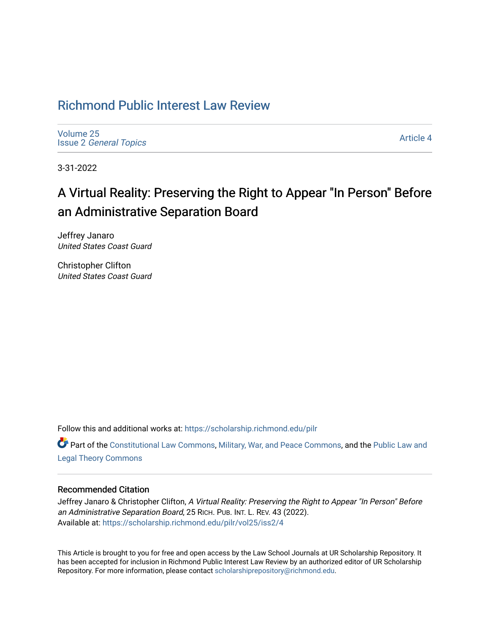# [Richmond Public Interest Law Review](https://scholarship.richmond.edu/pilr)

[Volume 25](https://scholarship.richmond.edu/pilr/vol25) Issue 2 [General Topics](https://scholarship.richmond.edu/pilr/vol25/iss2) 

[Article 4](https://scholarship.richmond.edu/pilr/vol25/iss2/4) 

3-31-2022

# A Virtual Reality: Preserving the Right to Appear "In Person" Before an Administrative Separation Board

Jeffrey Janaro United States Coast Guard

Christopher Clifton United States Coast Guard

Follow this and additional works at: [https://scholarship.richmond.edu/pilr](https://scholarship.richmond.edu/pilr?utm_source=scholarship.richmond.edu%2Fpilr%2Fvol25%2Fiss2%2F4&utm_medium=PDF&utm_campaign=PDFCoverPages) 

Part of the [Constitutional Law Commons,](http://network.bepress.com/hgg/discipline/589?utm_source=scholarship.richmond.edu%2Fpilr%2Fvol25%2Fiss2%2F4&utm_medium=PDF&utm_campaign=PDFCoverPages) [Military, War, and Peace Commons,](http://network.bepress.com/hgg/discipline/861?utm_source=scholarship.richmond.edu%2Fpilr%2Fvol25%2Fiss2%2F4&utm_medium=PDF&utm_campaign=PDFCoverPages) and the [Public Law and](http://network.bepress.com/hgg/discipline/871?utm_source=scholarship.richmond.edu%2Fpilr%2Fvol25%2Fiss2%2F4&utm_medium=PDF&utm_campaign=PDFCoverPages)  [Legal Theory Commons](http://network.bepress.com/hgg/discipline/871?utm_source=scholarship.richmond.edu%2Fpilr%2Fvol25%2Fiss2%2F4&utm_medium=PDF&utm_campaign=PDFCoverPages) 

# Recommended Citation

Jeffrey Janaro & Christopher Clifton, A Virtual Reality: Preserving the Right to Appear "In Person" Before an Administrative Separation Board, 25 RICH. PUB. INT. L. REV. 43 (2022). Available at: [https://scholarship.richmond.edu/pilr/vol25/iss2/4](https://scholarship.richmond.edu/pilr/vol25/iss2/4?utm_source=scholarship.richmond.edu%2Fpilr%2Fvol25%2Fiss2%2F4&utm_medium=PDF&utm_campaign=PDFCoverPages)

This Article is brought to you for free and open access by the Law School Journals at UR Scholarship Repository. It has been accepted for inclusion in Richmond Public Interest Law Review by an authorized editor of UR Scholarship Repository. For more information, please contact [scholarshiprepository@richmond.edu](mailto:scholarshiprepository@richmond.edu).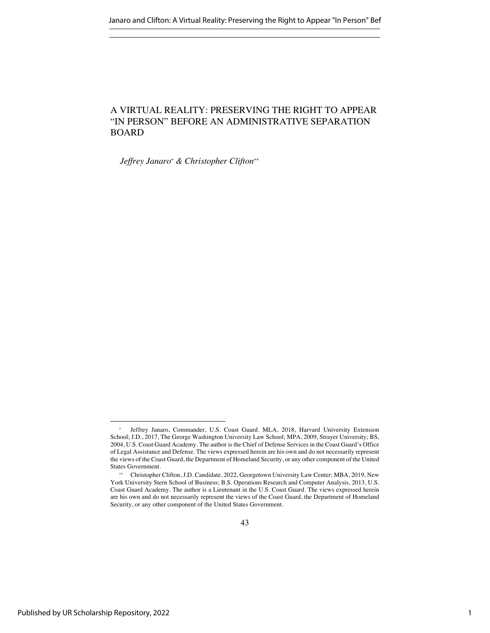# A VIRTUAL REALITY: PRESERVING THE RIGHT TO APPEAR "IN PERSON" BEFORE AN ADMINISTRATIVE SEPARATION BOARD

*Jeffrey Janaro\* & Christopher Clifton\*\**

<sup>\*</sup> Jeffrey Janaro, Commander, U.S. Coast Guard. MLA, 2018, Harvard University Extension School; J.D., 2017, The George Washington University Law School; MPA, 2009, Strayer University; BS, 2004, U.S. Coast Guard Academy. The author is the Chief of Defense Services in the Coast Guard's Office of Legal Assistance and Defense. The views expressed herein are his own and do not necessarily represent the views of the Coast Guard, the Department of Homeland Security, or any other component of the United States Government.

<sup>\*\*</sup> Christopher Clifton, J.D. Candidate, 2022, Georgetown University Law Center; MBA, 2019, New York University Stern School of Business; B.S. Operations Research and Computer Analysis, 2013, U.S. Coast Guard Academy. The author is a Lieutenant in the U.S. Coast Guard. The views expressed herein are his own and do not necessarily represent the views of the Coast Guard, the Department of Homeland Security, or any other component of the United States Government.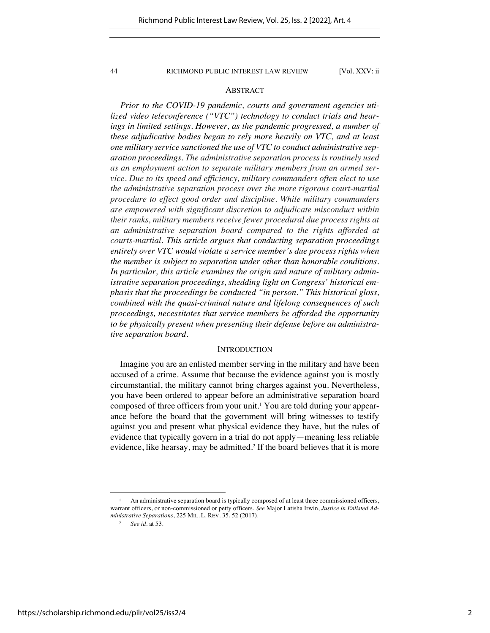### ABSTRACT

*Prior to the COVID-19 pandemic, courts and government agencies utilized video teleconference ("VTC") technology to conduct trials and hearings in limited settings. However, as the pandemic progressed, a number of these adjudicative bodies began to rely more heavily on VTC, and at least one military service sanctioned the use of VTC to conduct administrative separation proceedings. The administrative separation process is routinely used as an employment action to separate military members from an armed service. Due to its speed and efficiency, military commanders often elect to use the administrative separation process over the more rigorous court-martial procedure to effect good order and discipline. While military commanders are empowered with significant discretion to adjudicate misconduct within their ranks, military members receive fewer procedural due process rights at an administrative separation board compared to the rights afforded at courts-martial. This article argues that conducting separation proceedings entirely over VTC would violate a service member's due process rights when the member is subject to separation under other than honorable conditions. In particular, this article examines the origin and nature of military administrative separation proceedings, shedding light on Congress' historical emphasis that the proceedings be conducted "in person." This historical gloss, combined with the quasi-criminal nature and lifelong consequences of such proceedings, necessitates that service members be afforded the opportunity to be physically present when presenting their defense before an administrative separation board.*

#### **INTRODUCTION**

Imagine you are an enlisted member serving in the military and have been accused of a crime. Assume that because the evidence against you is mostly circumstantial, the military cannot bring charges against you. Nevertheless, you have been ordered to appear before an administrative separation board composed of three officers from your unit.<sup>1</sup> You are told during your appearance before the board that the government will bring witnesses to testify against you and present what physical evidence they have, but the rules of evidence that typically govern in a trial do not apply—meaning less reliable evidence, like hearsay, may be admitted.<sup>2</sup> If the board believes that it is more

<sup>&</sup>lt;sup>1</sup> An administrative separation board is typically composed of at least three commissioned officers, warrant officers, or non-commissioned or petty officers. *See* Major Latisha Irwin, *Justice in Enlisted Administrative Separations*, 225 MIL. L. REV. 35, 52 (2017).

<sup>2</sup> *See id.* at 53.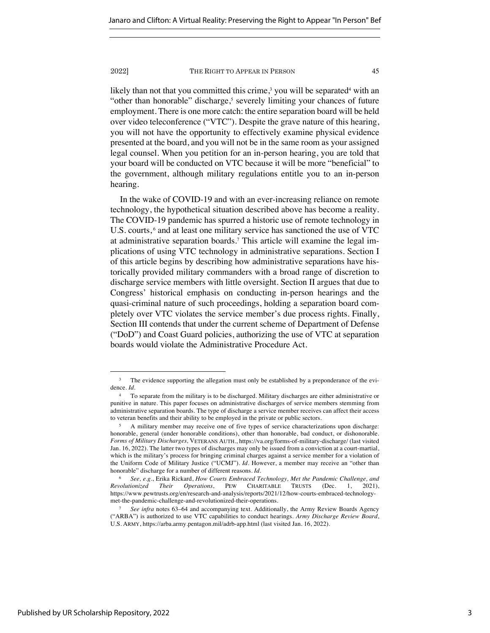likely than not that you committed this crime,<sup>3</sup> you will be separated<sup>4</sup> with an "other than honorable" discharge,<sup>5</sup> severely limiting your chances of future employment. There is one more catch: the entire separation board will be held over video teleconference ("VTC"). Despite the grave nature of this hearing, you will not have the opportunity to effectively examine physical evidence presented at the board, and you will not be in the same room as your assigned legal counsel. When you petition for an in-person hearing, you are told that your board will be conducted on VTC because it will be more "beneficial" to the government, although military regulations entitle you to an in-person hearing.

In the wake of COVID-19 and with an ever-increasing reliance on remote technology, the hypothetical situation described above has become a reality. The COVID-19 pandemic has spurred a historic use of remote technology in U.S. courts,  $6$  and at least one military service has sanctioned the use of VTC at administrative separation boards.<sup>7</sup> This article will examine the legal implications of using VTC technology in administrative separations. Section I of this article begins by describing how administrative separations have historically provided military commanders with a broad range of discretion to discharge service members with little oversight. Section II argues that due to Congress' historical emphasis on conducting in-person hearings and the quasi-criminal nature of such proceedings, holding a separation board completely over VTC violates the service member's due process rights. Finally, Section III contends that under the current scheme of Department of Defense ("DoD") and Coast Guard policies, authorizing the use of VTC at separation boards would violate the Administrative Procedure Act.

The evidence supporting the allegation must only be established by a preponderance of the evidence. *Id.*

<sup>4</sup> To separate from the military is to be discharged. Military discharges are either administrative or punitive in nature. This paper focuses on administrative discharges of service members stemming from administrative separation boards. The type of discharge a service member receives can affect their access to veteran benefits and their ability to be employed in the private or public sectors.

<sup>5</sup> A military member may receive one of five types of service characterizations upon discharge: honorable, general (under honorable conditions), other than honorable, bad conduct, or dishonorable. *Forms of Military Discharges,* VETERANS AUTH., https://va.org/forms-of-military-discharge/ (last visited Jan. 16, 2022). The latter two types of discharges may only be issued from a conviction at a court-martial, which is the military's process for bringing criminal charges against a service member for a violation of the Uniform Code of Military Justice ("UCMJ"). *Id.* However, a member may receive an "other than honorable" discharge for a number of different reasons. *Id.*

<sup>6</sup> *See, e.g.*, Erika Rickard, *How Courts Embraced Technology, Met the Pandemic Challenge, and Revolutionized Their Operations*, PEW CHARITABLE TRUSTS (Dec. 1, 2021), https://www.pewtrusts.org/en/research-and-analysis/reports/2021/12/how-courts-embraced-technologymet-the-pandemic-challenge-and-revolutionized-their-operations.

<sup>7</sup> *See infra* notes 63–64 and accompanying text. Additionally, the Army Review Boards Agency ("ARBA") is authorized to use VTC capabilities to conduct hearings. *Army Discharge Review Board*, U.S. ARMY, https://arba.army.pentagon.mil/adrb-app.html (last visited Jan. 16, 2022).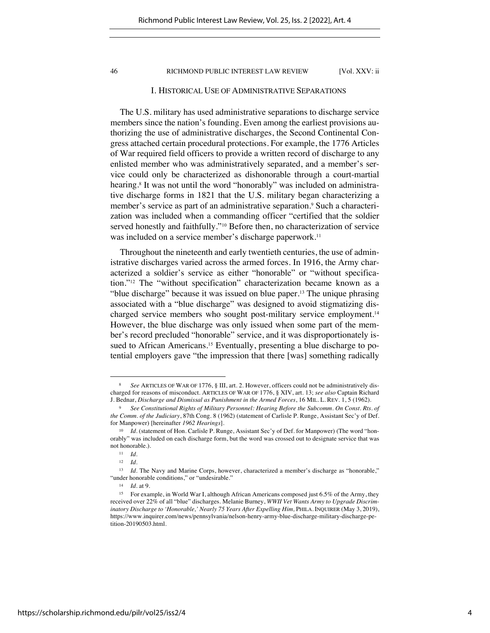## I. HISTORICAL USE OF ADMINISTRATIVE SEPARATIONS

The U.S. military has used administrative separations to discharge service members since the nation's founding. Even among the earliest provisions authorizing the use of administrative discharges, the Second Continental Congress attached certain procedural protections. For example, the 1776 Articles of War required field officers to provide a written record of discharge to any enlisted member who was administratively separated, and a member's service could only be characterized as dishonorable through a court-martial hearing.<sup>8</sup> It was not until the word "honorably" was included on administrative discharge forms in 1821 that the U.S. military began characterizing a member's service as part of an administrative separation. <sup>9</sup> Such a characterization was included when a commanding officer "certified that the soldier served honestly and faithfully."<sup>10</sup> Before then, no characterization of service was included on a service member's discharge paperwork.<sup>11</sup>

Throughout the nineteenth and early twentieth centuries, the use of administrative discharges varied across the armed forces. In 1916, the Army characterized a soldier's service as either "honorable" or "without specification."<sup>12</sup> The "without specification" characterization became known as a "blue discharge" because it was issued on blue paper.<sup>13</sup> The unique phrasing associated with a "blue discharge" was designed to avoid stigmatizing discharged service members who sought post-military service employment.<sup>14</sup> However, the blue discharge was only issued when some part of the member's record precluded "honorable" service, and it was disproportionately issued to African Americans.<sup>15</sup> Eventually, presenting a blue discharge to potential employers gave "the impression that there [was] something radically

<sup>8</sup> *See* ARTICLES OF WAR OF 1776, § III, art. 2. However, officers could not be administratively discharged for reasons of misconduct. ARTICLES OF WAR OF 1776, § XIV, art. 13; *see also* Captain Richard J. Bednar, *Discharge and Dismissal as Punishment in the Armed Forces*, 16 MIL. L. REV. 1, 5 (1962).

<sup>9</sup> *See Constitutional Rights of Military Personnel: Hearing Before the Subcomm. On Const. Rts. of the Comm. of the Judiciary*, 87th Cong. 8 (1962) (statement of Carlisle P. Runge, Assistant Sec'y of Def. for Manpower) [hereinafter *1962 Hearings*].

<sup>&</sup>lt;sup>10</sup> *Id.* (statement of Hon. Carlisle P. Runge, Assistant Sec'y of Def. for Manpower) (The word "honorably" was included on each discharge form, but the word was crossed out to designate service that was not honorable.).

<sup>11</sup> *Id.*

<sup>12</sup> *Id.*

<sup>13</sup> *Id.* The Navy and Marine Corps, however, characterized a member's discharge as "honorable," "under honorable conditions," or "undesirable."

<sup>14</sup> *Id.* at 9.

<sup>15</sup> For example, in World War I, although African Americans composed just 6.5% of the Army, they received over 22% of all "blue" discharges. Melanie Burney, *WWII Vet Wants Army to Upgrade Discriminatory Discharge to 'Honorable,' Nearly 75 Years After Expelling Him, PHILA. INQUIRER (May 3, 2019),* https://www.inquirer.com/news/pennsylvania/nelson-henry-army-blue-discharge-military-discharge-petition-20190503.html.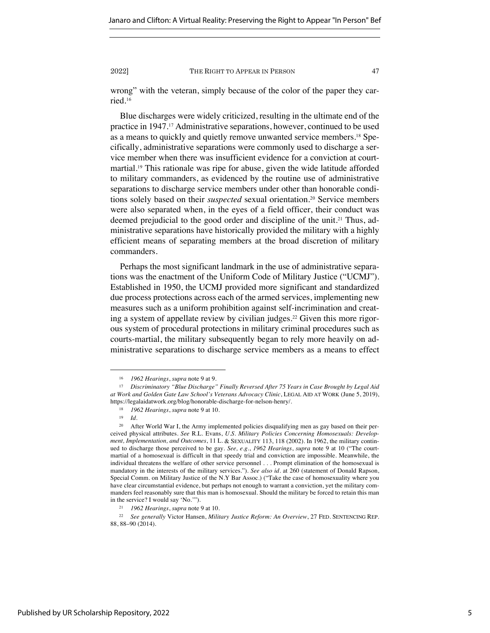wrong" with the veteran, simply because of the color of the paper they carried.<sup>16</sup>

Blue discharges were widely criticized, resulting in the ultimate end of the practice in 1947.<sup>17</sup> Administrative separations, however, continued to be used as a means to quickly and quietly remove unwanted service members.<sup>18</sup> Specifically, administrative separations were commonly used to discharge a service member when there was insufficient evidence for a conviction at courtmartial.<sup>19</sup> This rationale was ripe for abuse, given the wide latitude afforded to military commanders, as evidenced by the routine use of administrative separations to discharge service members under other than honorable conditions solely based on their *suspected* sexual orientation.<sup>20</sup> Service members were also separated when, in the eyes of a field officer, their conduct was deemed prejudicial to the good order and discipline of the unit.<sup>21</sup> Thus, administrative separations have historically provided the military with a highly efficient means of separating members at the broad discretion of military commanders.

Perhaps the most significant landmark in the use of administrative separations was the enactment of the Uniform Code of Military Justice ("UCMJ"). Established in 1950, the UCMJ provided more significant and standardized due process protections across each of the armed services, implementing new measures such as a uniform prohibition against self-incrimination and creating a system of appellate review by civilian judges.<sup>22</sup> Given this more rigorous system of procedural protections in military criminal procedures such as courts-martial, the military subsequently began to rely more heavily on administrative separations to discharge service members as a means to effect

<sup>16</sup> *1962 Hearings*, *supra* note 9 at 9.

<sup>17</sup> *Discriminatory "Blue Discharge" Finally Reversed After 75 Years in Case Brought by Legal Aid at Work and Golden Gate Law School's Veterans Advocacy Clinic*, LEGAL AID AT WORK (June 5, 2019), https://legalaidatwork.org/blog/honorable-discharge-for-nelson-henry/.

<sup>18</sup> *1962 Hearings*, *supra* note 9 at 10.

<sup>19</sup> *Id.* 

<sup>20</sup> After World War I, the Army implemented policies disqualifying men as gay based on their perceived physical attributes. *See* R.L. Evans, *U.S. Military Policies Concerning Homosexuals: Development, Implementation, and Outcomes*, 11 L. & SEXUALITY 113, 118 (2002). In 1962, the military continued to discharge those perceived to be gay. *See, e.g.*, *1962 Hearings*, *supra* note 9 at 10 ("The courtmartial of a homosexual is difficult in that speedy trial and conviction are impossible. Meanwhile, the individual threatens the welfare of other service personnel . . . Prompt elimination of the homosexual is mandatory in the interests of the military services."). *See also id.* at 260 (statement of Donald Rapson, Special Comm. on Military Justice of the N.Y Bar Assoc.) ("Take the case of homosexuality where you have clear circumstantial evidence, but perhaps not enough to warrant a conviction, yet the military commanders feel reasonably sure that this man is homosexual. Should the military be forced to retain this man in the service? I would say 'No.'").

<sup>21</sup> *1962 Hearings*, *supra* note 9 at 10.

<sup>22</sup> *See generally* Victor Hansen, *Military Justice Reform: An Overview*, 27 FED. SENTENCING REP. 88, 88–90 (2014).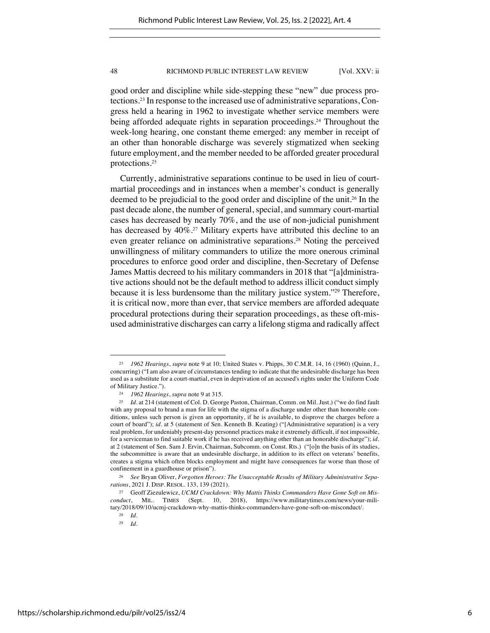good order and discipline while side-stepping these "new" due process protections. <sup>23</sup> In response to the increased use of administrative separations, Congress held a hearing in 1962 to investigate whether service members were being afforded adequate rights in separation proceedings.<sup>24</sup> Throughout the week-long hearing, one constant theme emerged: any member in receipt of an other than honorable discharge was severely stigmatized when seeking future employment, and the member needed to be afforded greater procedural protections.<sup>25</sup>

Currently, administrative separations continue to be used in lieu of courtmartial proceedings and in instances when a member's conduct is generally deemed to be prejudicial to the good order and discipline of the unit.<sup>26</sup> In the past decade alone, the number of general, special, and summary court-martial cases has decreased by nearly 70%, and the use of non-judicial punishment has decreased by 40%.<sup>27</sup> Military experts have attributed this decline to an even greater reliance on administrative separations.<sup>28</sup> Noting the perceived unwillingness of military commanders to utilize the more onerous criminal procedures to enforce good order and discipline, then-Secretary of Defense James Mattis decreed to his military commanders in 2018 that "[a]dministrative actions should not be the default method to address illicit conduct simply because it is less burdensome than the military justice system."29 Therefore, it is critical now, more than ever, that service members are afforded adequate procedural protections during their separation proceedings, as these oft-misused administrative discharges can carry a lifelong stigma and radically affect

<sup>23</sup> *1962 Hearings*, *supra* note 9 at 10; United States v. Phipps*,* 30 C.M.R. 14, 16 (1960) (Quinn, J., concurring) ("I am also aware of circumstances tending to indicate that the undesirable discharge has been used as a substitute for a court-martial, even in deprivation of an accused's rights under the Uniform Code of Military Justice.").

<sup>24</sup> *1962 Hearings*, *supra* note 9 at 315.

<sup>25</sup> *Id.* at 214 (statement of Col. D. George Paston, Chairman, Comm. on Mil. Just.) ("we do find fault with any proposal to brand a man for life with the stigma of a discharge under other than honorable conditions, unless such person is given an opportunity, if he is available, to disprove the charges before a court of board"); *id.* at 5 (statement of Sen. Kenneth B. Keating) ("[Administrative separation] is a very real problem, for undeniably present-day personnel practices make it extremely difficult, if not impossible, for a serviceman to find suitable work if he has received anything other than an honorable discharge"); *id.*  at 2 (statement of Sen. Sam J. Ervin, Chairman, Subcomm. on Const. Rts.) ("[o]n the basis of its studies, the subcommittee is aware that an undesirable discharge, in addition to its effect on veterans' benefits, creates a stigma which often blocks employment and might have consequences far worse than those of confinement in a guardhouse or prison").

<sup>26</sup> *See* Bryan Oliver, *Forgotten Heroes: The Unacceptable Results of Military Administrative Separations*, 2021 J. DISP. RESOL. 133, 139 (2021).

<sup>27</sup> Geoff Ziezulewicz, *UCMJ Crackdown: Why Mattis Thinks Commanders Have Gone Soft on Misconduct*, MIL. TIMES (Sept. 10, 2018), https://www.militarytimes.com/news/your-military/2018/09/10/ucmj-crackdown-why-mattis-thinks-commanders-have-gone-soft-on-misconduct/.

<sup>28</sup> *Id.*

<sup>29</sup> *Id.*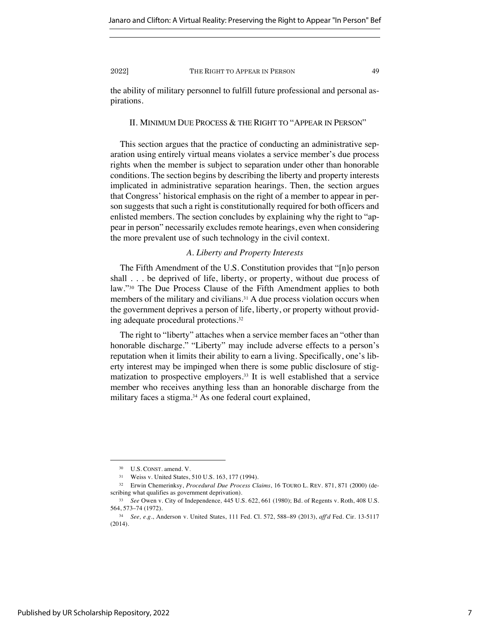the ability of military personnel to fulfill future professional and personal aspirations.

# II. MINIMUM DUE PROCESS & THE RIGHT TO "APPEAR IN PERSON"

This section argues that the practice of conducting an administrative separation using entirely virtual means violates a service member's due process rights when the member is subject to separation under other than honorable conditions. The section begins by describing the liberty and property interests implicated in administrative separation hearings. Then, the section argues that Congress' historical emphasis on the right of a member to appear in person suggests that such a right is constitutionally required for both officers and enlisted members. The section concludes by explaining why the right to "appear in person" necessarily excludes remote hearings, even when considering the more prevalent use of such technology in the civil context.

# *A. Liberty and Property Interests*

The Fifth Amendment of the U.S. Constitution provides that "[n]o person shall . . . be deprived of life, liberty, or property, without due process of law."<sup>30</sup> The Due Process Clause of the Fifth Amendment applies to both members of the military and civilians. <sup>31</sup> A due process violation occurs when the government deprives a person of life, liberty, or property without providing adequate procedural protections.<sup>32</sup>

The right to "liberty" attaches when a service member faces an "other than honorable discharge." "Liberty" may include adverse effects to a person's reputation when it limits their ability to earn a living. Specifically, one's liberty interest may be impinged when there is some public disclosure of stigmatization to prospective employers.<sup>33</sup> It is well established that a service member who receives anything less than an honorable discharge from the military faces a stigma.<sup>34</sup> As one federal court explained,

<sup>30</sup> U.S. CONST. amend. V.

<sup>31</sup> Weiss v. United States, 510 U.S. 163, 177 (1994).

<sup>32</sup> Erwin Chemerinksy, *Procedural Due Process Claims*, 16 TOURO L. REV. 871, 871 (2000) (describing what qualifies as government deprivation).

<sup>33</sup> *See* Owen v. City of Independence*,* 445 U.S. 622, 661 (1980); Bd. of Regents v. Roth, 408 U.S. 564, 573–74 (1972).

<sup>34</sup> *See, e.g.*, Anderson v. United States, 111 Fed. Cl. 572, 588–89 (2013), *aff'd* Fed. Cir. 13-5117 (2014).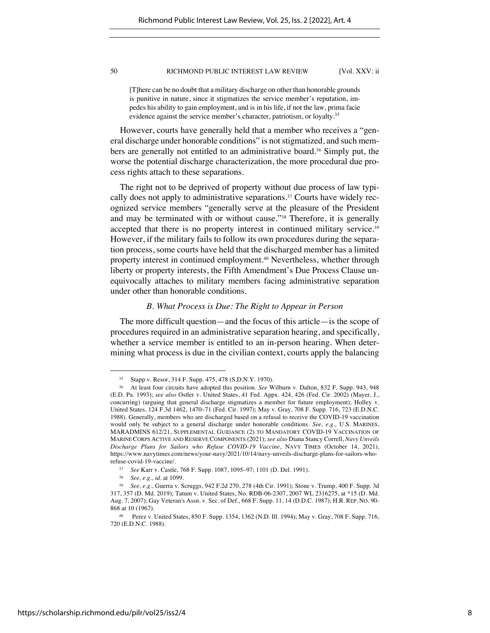[T]here can be no doubt that a military discharge on other than honorable grounds is punitive in nature, since it stigmatizes the service member's reputation, impedes his ability to gain employment, and is in his life, if not the law, prima facie evidence against the service member's character, patriotism, or loyalty.<sup>35</sup>

However, courts have generally held that a member who receives a "general discharge under honorable conditions" is not stigmatized, and such members are generally not entitled to an administrative board.<sup>36</sup> Simply put, the worse the potential discharge characterization, the more procedural due process rights attach to these separations.

The right not to be deprived of property without due process of law typically does not apply to administrative separations.<sup>37</sup> Courts have widely recognized service members "generally serve at the pleasure of the President and may be terminated with or without cause."<sup>38</sup> Therefore, it is generally accepted that there is no property interest in continued military service.<sup>39</sup> However, if the military fails to follow its own procedures during the separation process, some courts have held that the discharged member has a limited property interest in continued employment.<sup>40</sup> Nevertheless, whether through liberty or property interests, the Fifth Amendment's Due Process Clause unequivocally attaches to military members facing administrative separation under other than honorable conditions.

# *B. What Process is Due: The Right to Appear in Person*

The more difficult question—and the focus of this article—is the scope of procedures required in an administrative separation hearing, and specifically, whether a service member is entitled to an in-person hearing. When determining what process is due in the civilian context, courts apply the balancing

<sup>35</sup> Stapp v. Resor, 314 F. Supp. 475, 478 (S.D.N.Y. 1970).

<sup>36</sup> At least four circuits have adopted this position. *See* Wilburn v. Dalton, 832 F. Supp. 943, 948 (E.D. Pa. 1993); *see also* Ostler v. United States, 41 Fed. Appx. 424, 426 (Fed. Cir. 2002) (Mayer, J., concurring) (arguing that general discharge stigmatizes a member for future employment); Holley v. United States, 124 F.3d 1462, 1470–71 (Fed. Cir. 1997); May v. Gray, 708 F. Supp. 716, 723 (E.D.N.C. 1988). Generally, members who are discharged based on a refusal to receive the COVID-19 vaccination would only be subject to a general discharge under honorable conditions. *See, e.g.,* U.S. MARINES, MARADMINS 612/21, SUPPLEMENTAL GUIDANCE (2) TO MANDATORY COVID-19 VACCINATION OF MARINE CORPS ACTIVE AND RESERVE COMPONENTS (2021); *see also* Diana Stancy Correll, *Navy Unveils Discharge Plans for Sailors who Refuse COVID-19 Vaccine*, NAVY TIMES (October 14, 2021), https://www.navytimes.com/news/your-navy/2021/10/14/navy-unveils-discharge-plans-for-sailors-whorefuse-covid-19-vaccine/.

<sup>37</sup> *See* Karr v. Castle, 768 F. Supp. 1087, 1095–97; 1101 (D. Del. 1991).

<sup>38</sup> *See, e.g., id.* at 1099.

<sup>39</sup> *See, e.g.,* Guerra v. Scruggs, 942 F.2d 270, 278 (4th Cir. 1991); Stone v. Trump, 400 F. Supp. 3d 317, 357 (D. Md. 2019); Tatum v. United States, No. RDB-06-2307, 2007 WL 2316275, at \*15 (D. Md. Aug. 7, 2007); Gay Veteran's Assn. v. Sec. of Def.*,* 668 F. Supp. 11, 14 (D.D.C. 1987); H.R. REP. NO. 90- 868 at 10 (1967).

<sup>40</sup> Perez v. United States, 850 F. Supp. 1354, 1362 (N.D. Ill. 1994); May v. Gray, 708 F. Supp. 716, 720 (E.D.N.C. 1988).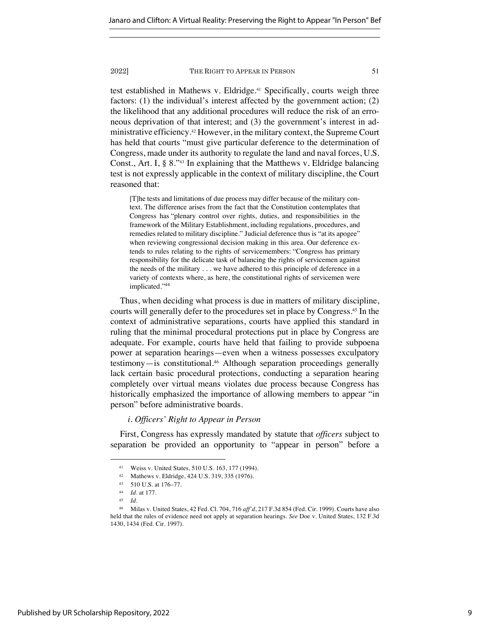test established in Mathews v. Eldridge.<sup>41</sup> Specifically, courts weigh three factors: (1) the individual's interest affected by the government action; (2) the likelihood that any additional procedures will reduce the risk of an erroneous deprivation of that interest; and (3) the government's interest in administrative efficiency.42 However, in the military context, the Supreme Court has held that courts "must give particular deference to the determination of Congress, made under its authority to regulate the land and naval forces, U.S. Const., Art. I, § 8."43 In explaining that the Matthews v. Eldridge balancing test is not expressly applicable in the context of military discipline, the Court reasoned that:

[T]he tests and limitations of due process may differ because of the military context. The difference arises from the fact that the Constitution contemplates that Congress has "plenary control over rights, duties, and responsibilities in the framework of the Military Establishment, including regulations, procedures, and remedies related to military discipline." Judicial deference thus is "at its apogee" when reviewing congressional decision making in this area. Our deference extends to rules relating to the rights of servicemembers: "Congress has primary responsibility for the delicate task of balancing the rights of servicemen against the needs of the military . . . we have adhered to this principle of deference in a variety of contexts where, as here, the constitutional rights of servicemen were implicated."<sup>44</sup>

Thus, when deciding what process is due in matters of military discipline, courts will generally defer to the procedures set in place by Congress.<sup>45</sup> In the context of administrative separations, courts have applied this standard in ruling that the minimal procedural protections put in place by Congress are adequate. For example, courts have held that failing to provide subpoena power at separation hearings—even when a witness possesses exculpatory testimony—is constitutional.<sup>46</sup> Although separation proceedings generally lack certain basic procedural protections, conducting a separation hearing completely over virtual means violates due process because Congress has historically emphasized the importance of allowing members to appear "in person" before administrative boards.

# *i. Officers' Right to Appear in Person*

First, Congress has expressly mandated by statute that *officers* subject to separation be provided an opportunity to "appear in person" before a

<sup>41</sup> Weiss v. United States*,* 510 U.S. 163, 177 (1994).

<sup>42</sup> Mathews v. Eldridge, 424 U.S. 319, 335 (1976).

<sup>43</sup> 510 U.S. at 176–77.

<sup>44</sup> *Id.* at 177.

<sup>45</sup> *Id.*

<sup>46</sup> Milas v. United States, 42 Fed. Cl. 704, 716 *aff'd*, 217 F.3d 854 (Fed. Cir. 1999). Courts have also held that the rules of evidence need not apply at separation hearings. *See* Doe v. United States, 132 F.3d 1430, 1434 (Fed. Cir. 1997).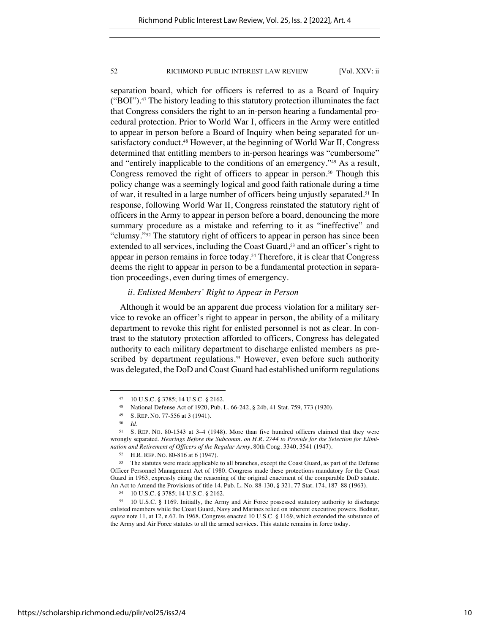separation board, which for officers is referred to as a Board of Inquiry ("BOI").<sup>47</sup> The history leading to this statutory protection illuminates the fact that Congress considers the right to an in-person hearing a fundamental procedural protection. Prior to World War I, officers in the Army were entitled to appear in person before a Board of Inquiry when being separated for unsatisfactory conduct.<sup>48</sup> However, at the beginning of World War II, Congress determined that entitling members to in-person hearings was "cumbersome" and "entirely inapplicable to the conditions of an emergency."<sup>49</sup> As a result, Congress removed the right of officers to appear in person.<sup>50</sup> Though this policy change was a seemingly logical and good faith rationale during a time of war, it resulted in a large number of officers being unjustly separated.<sup>51</sup> In response, following World War II, Congress reinstated the statutory right of officers in the Army to appear in person before a board, denouncing the more summary procedure as a mistake and referring to it as "ineffective" and "clumsy."<sup>52</sup> The statutory right of officers to appear in person has since been extended to all services, including the Coast Guard,<sup>53</sup> and an officer's right to appear in person remains in force today.<sup>54</sup> Therefore, it is clear that Congress deems the right to appear in person to be a fundamental protection in separation proceedings, even during times of emergency.

# *ii. Enlisted Members' Right to Appear in Person*

Although it would be an apparent due process violation for a military service to revoke an officer's right to appear in person, the ability of a military department to revoke this right for enlisted personnel is not as clear. In contrast to the statutory protection afforded to officers, Congress has delegated authority to each military department to discharge enlisted members as prescribed by department regulations.<sup>55</sup> However, even before such authority was delegated, the DoD and Coast Guard had established uniform regulations

<sup>47</sup> 10 U.S.C. § 3785; 14 U.S.C. § 2162.

<sup>48</sup> National Defense Act of 1920, Pub. L. 66-242, § 24b, 41 Stat. 759, 773 (1920).

<sup>49</sup> S. REP. NO. 77-556 at 3 (1941).

<sup>50</sup> *Id.*

<sup>51</sup> S. REP. NO. 80-1543 at 3–4 (1948). More than five hundred officers claimed that they were wrongly separated. *Hearings Before the Subcomm. on H.R. 2744 to Provide for the Selection for Elimination and Retirement of Officers of the Regular Army*, 80th Cong. 3340, 3541 (1947).

<sup>52</sup> H.R. REP. NO. 80-816 at 6 (1947).

<sup>53</sup> The statutes were made applicable to all branches, except the Coast Guard, as part of the Defense Officer Personnel Management Act of 1980. Congress made these protections mandatory for the Coast Guard in 1963, expressly citing the reasoning of the original enactment of the comparable DoD statute. An Act to Amend the Provisions of title 14, Pub. L. No. 88-130, § 321, 77 Stat. 174, 187–88 (1963).

<sup>54</sup> 10 U.S.C. § 3785; 14 U.S.C. § 2162.

<sup>55</sup> 10 U.S.C. § 1169. Initially, the Army and Air Force possessed statutory authority to discharge enlisted members while the Coast Guard, Navy and Marines relied on inherent executive powers. Bednar, *supra* note 11, at 12, n.67. In 1968, Congress enacted 10 U.S.C. § 1169, which extended the substance of the Army and Air Force statutes to all the armed services. This statute remains in force today.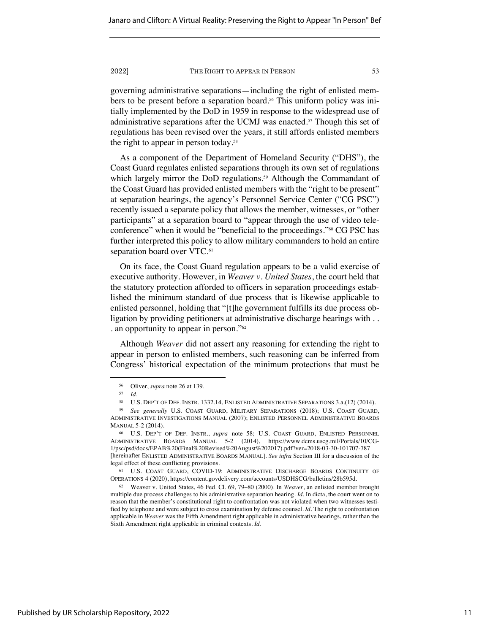governing administrative separations—including the right of enlisted members to be present before a separation board.<sup>56</sup> This uniform policy was initially implemented by the DoD in 1959 in response to the widespread use of administrative separations after the UCMJ was enacted.<sup>57</sup> Though this set of regulations has been revised over the years, it still affords enlisted members the right to appear in person today.58

As a component of the Department of Homeland Security ("DHS"), the Coast Guard regulates enlisted separations through its own set of regulations which largely mirror the DoD regulations.<sup>59</sup> Although the Commandant of the Coast Guard has provided enlisted members with the "right to be present" at separation hearings, the agency's Personnel Service Center ("CG PSC") recently issued a separate policy that allows the member, witnesses, or "other participants" at a separation board to "appear through the use of video teleconference" when it would be "beneficial to the proceedings."60 CG PSC has further interpreted this policy to allow military commanders to hold an entire separation board over VTC.<sup>61</sup>

On its face, the Coast Guard regulation appears to be a valid exercise of executive authority. However, in *Weaver v. United States*, the court held that the statutory protection afforded to officers in separation proceedings established the minimum standard of due process that is likewise applicable to enlisted personnel, holding that "[t]he government fulfills its due process obligation by providing petitioners at administrative discharge hearings with . . . an opportunity to appear in person."62

Although *Weaver* did not assert any reasoning for extending the right to appear in person to enlisted members, such reasoning can be inferred from Congress' historical expectation of the minimum protections that must be

<sup>56</sup> Oliver, *supra* note 26 at 139.

<sup>57</sup> *Id.*

<sup>58</sup> U.S. DEP'T OF DEF. INSTR. 1332.14, ENLISTED ADMINISTRATIVE SEPARATIONS 3.a.(12) (2014).

<sup>59</sup> *See generally* U.S. COAST GUARD, MILITARY SEPARATIONS (2018); U.S. COAST GUARD, ADMINISTRATIVE INVESTIGATIONS MANUAL (2007); ENLISTED PERSONNEL ADMINISTRATIVE BOARDS MANUAL 5-2 (2014).

<sup>60</sup> U.S. DEP'T OF DEF. INSTR., *supra* note 58; U.S. COAST GUARD, ENLISTED PERSONNEL ADMINISTRATIVE BOARDS MANUAL 5-2 (2014), https://www.dcms.uscg.mil/Portals/10/CG-1/psc/psd/docs/EPAB%20(Final%20Revised%20August%202017).pdf?ver=2018-03-30-101707-787 [hereinafter ENLISTED ADMINISTRATIVE BOARDS MANUAL]. *See infra* Section III for a discussion of the legal effect of these conflicting provisions.

<sup>61</sup> U.S. COAST GUARD, COVID-19: ADMINISTRATIVE DISCHARGE BOARDS CONTINUITY OF OPERATIONS 4 (2020), https://content.govdelivery.com/accounts/USDHSCG/bulletins/28b595d.

<sup>62</sup> Weaver v. United States, 46 Fed. Cl. 69, 79–80 (2000). In *Weaver*, an enlisted member brought multiple due process challenges to his administrative separation hearing. *Id.* In dicta, the court went on to reason that the member's constitutional right to confrontation was not violated when two witnesses testified by telephone and were subject to cross examination by defense counsel. *Id.* The right to confrontation applicable in *Weaver* was the Fifth Amendment right applicable in administrative hearings, rather than the Sixth Amendment right applicable in criminal contexts. *Id.*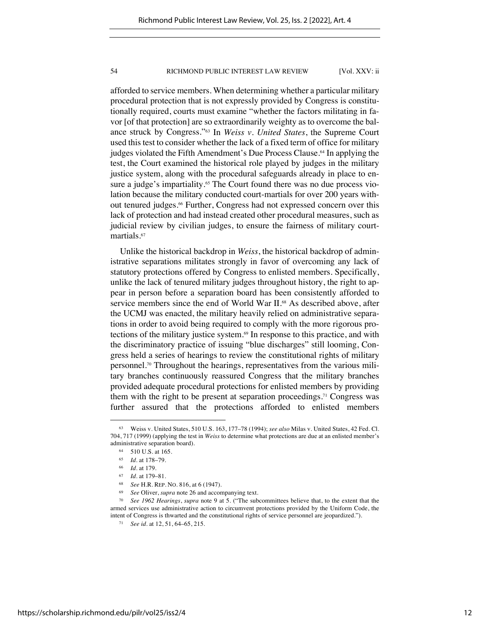afforded to service members. When determining whether a particular military procedural protection that is not expressly provided by Congress is constitutionally required, courts must examine "whether the factors militating in favor [of that protection] are so extraordinarily weighty as to overcome the balance struck by Congress."63 In *Weiss v. United States*, the Supreme Court used this test to consider whether the lack of a fixed term of office for military judges violated the Fifth Amendment's Due Process Clause.<sup>64</sup> In applying the test, the Court examined the historical role played by judges in the military justice system, along with the procedural safeguards already in place to ensure a judge's impartiality.<sup>65</sup> The Court found there was no due process violation because the military conducted court-martials for over 200 years without tenured judges.<sup>66</sup> Further, Congress had not expressed concern over this lack of protection and had instead created other procedural measures, such as judicial review by civilian judges, to ensure the fairness of military courtmartials.<sup>67</sup>

Unlike the historical backdrop in *Weiss*, the historical backdrop of administrative separations militates strongly in favor of overcoming any lack of statutory protections offered by Congress to enlisted members. Specifically, unlike the lack of tenured military judges throughout history, the right to appear in person before a separation board has been consistently afforded to service members since the end of World War II.<sup>68</sup> As described above, after the UCMJ was enacted, the military heavily relied on administrative separations in order to avoid being required to comply with the more rigorous protections of the military justice system.<sup>69</sup> In response to this practice, and with the discriminatory practice of issuing "blue discharges" still looming, Congress held a series of hearings to review the constitutional rights of military personnel.70 Throughout the hearings, representatives from the various military branches continuously reassured Congress that the military branches provided adequate procedural protections for enlisted members by providing them with the right to be present at separation proceedings.<sup>71</sup> Congress was further assured that the protections afforded to enlisted members

<sup>63</sup> Weiss v. United States, 510 U.S. 163, 177–78 (1994); *see also* Milas v. United States, 42 Fed. Cl. 704, 717 (1999) (applying the test in *Weiss* to determine what protections are due at an enlisted member's administrative separation board).

<sup>64</sup> 510 U.S. at 165.

<sup>65</sup> *Id.* at 178–79.

<sup>66</sup> *Id.* at 179.

<sup>67</sup> *Id.* at 179–81.

<sup>68</sup> *See* H.R. REP. NO. 816, at 6 (1947).

See Oliver, *supra* note 26 and accompanying text.

<sup>70</sup> *See 1962 Hearings*, *supra* note 9 at 5. ("The subcommittees believe that, to the extent that the armed services use administrative action to circumvent protections provided by the Uniform Code, the intent of Congress is thwarted and the constitutional rights of service personnel are jeopardized.").

<sup>71</sup> *See id.* at 12, 51, 64–65, 215.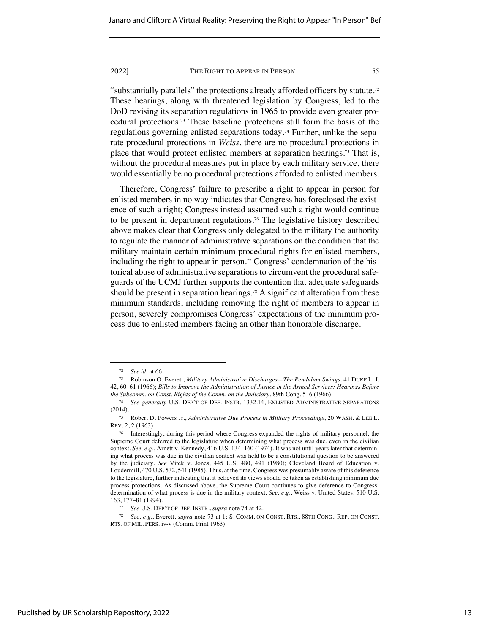"substantially parallels" the protections already afforded officers by statute.72 These hearings, along with threatened legislation by Congress, led to the DoD revising its separation regulations in 1965 to provide even greater procedural protections.73 These baseline protections still form the basis of the regulations governing enlisted separations today.74 Further, unlike the separate procedural protections in *Weiss*, there are no procedural protections in place that would protect enlisted members at separation hearings.75 That is, without the procedural measures put in place by each military service, there would essentially be no procedural protections afforded to enlisted members.

Therefore, Congress' failure to prescribe a right to appear in person for enlisted members in no way indicates that Congress has foreclosed the existence of such a right; Congress instead assumed such a right would continue to be present in department regulations.76 The legislative history described above makes clear that Congress only delegated to the military the authority to regulate the manner of administrative separations on the condition that the military maintain certain minimum procedural rights for enlisted members, including the right to appear in person.<sup>77</sup> Congress' condemnation of the historical abuse of administrative separations to circumvent the procedural safeguards of the UCMJ further supports the contention that adequate safeguards should be present in separation hearings.<sup>78</sup> A significant alteration from these minimum standards, including removing the right of members to appear in person, severely compromises Congress' expectations of the minimum process due to enlisted members facing an other than honorable discharge.

<sup>72</sup> *See id.* at 66.

<sup>73</sup> Robinson O. Everett, *Military Administrative Discharges—The Pendulum Swings,* 41 DUKE L. J. 42, 60–61 (1966); *Bills to Improve the Administration of Justice in the Armed Services: Hearings Before the Subcomm. on Const. Rights of the Comm. on the Judiciary*, 89th Cong. 5–6 (1966).

<sup>74</sup> *See generally* U.S. DEP'T OF DEF. INSTR. 1332.14, ENLISTED ADMINISTRATIVE SEPARATIONS (2014).

<sup>75</sup> Robert D. Powers Jr., *Administrative Due Process in Military Proceedings*, 20 WASH. & LEE L. REV. 2, 2 (1963).

<sup>76</sup> Interestingly, during this period where Congress expanded the rights of military personnel, the Supreme Court deferred to the legislature when determining what process was due, even in the civilian context. See, e.g., Arnett v. Kennedy, 416 U.S. 134, 160 (1974). It was not until years later that determining what process was due in the civilian context was held to be a constitutional question to be answered by the judiciary. *See* Vitek v. Jones, 445 U.S. 480, 491 (1980); Cleveland Board of Education v. Loudermill, 470 U.S. 532, 541 (1985). Thus, at the time, Congress was presumably aware of this deference to the legislature, further indicating that it believed its views should be taken as establishing minimum due process protections. As discussed above, the Supreme Court continues to give deference to Congress' determination of what process is due in the military context. *See, e.g.*, Weiss v. United States, 510 U.S. 163, 177–81 (1994).

<sup>77</sup> *See* U.S. DEP'T OF DEF. INSTR., *supra* note 74 at 42.

<sup>78</sup> *See, e.g.*, Everett, *supra* note 73 at 1; S. COMM. ON CONST. RTS., 88TH CONG., REP. ON CONST. RTS. OF MIL. PERS. iv-v (Comm. Print 1963).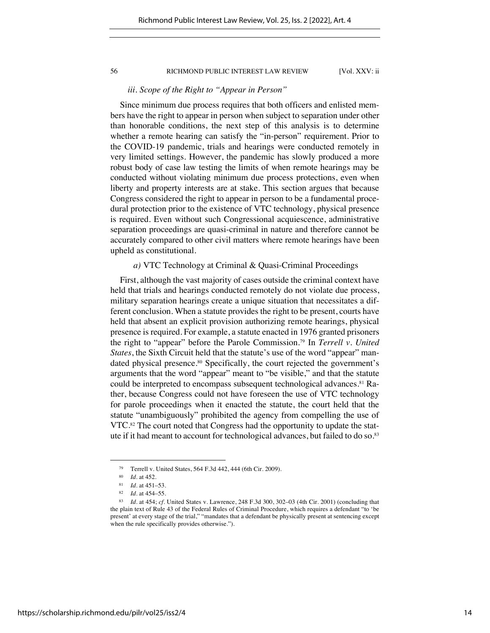# *iii. Scope of the Right to "Appear in Person"*

Since minimum due process requires that both officers and enlisted members have the right to appear in person when subject to separation under other than honorable conditions, the next step of this analysis is to determine whether a remote hearing can satisfy the "in-person" requirement. Prior to the COVID-19 pandemic, trials and hearings were conducted remotely in very limited settings. However, the pandemic has slowly produced a more robust body of case law testing the limits of when remote hearings may be conducted without violating minimum due process protections, even when liberty and property interests are at stake. This section argues that because Congress considered the right to appear in person to be a fundamental procedural protection prior to the existence of VTC technology, physical presence is required. Even without such Congressional acquiescence, administrative separation proceedings are quasi-criminal in nature and therefore cannot be accurately compared to other civil matters where remote hearings have been upheld as constitutional.

# *a)* VTC Technology at Criminal & Quasi-Criminal Proceedings

First, although the vast majority of cases outside the criminal context have held that trials and hearings conducted remotely do not violate due process, military separation hearings create a unique situation that necessitates a different conclusion. When a statute provides the right to be present, courts have held that absent an explicit provision authorizing remote hearings, physical presence is required. For example, a statute enacted in 1976 granted prisoners the right to "appear" before the Parole Commission.<sup>79</sup> In *Terrell v. United States*, the Sixth Circuit held that the statute's use of the word "appear" mandated physical presence.<sup>80</sup> Specifically, the court rejected the government's arguments that the word "appear" meant to "be visible," and that the statute could be interpreted to encompass subsequent technological advances.<sup>81</sup> Rather, because Congress could not have foreseen the use of VTC technology for parole proceedings when it enacted the statute, the court held that the statute "unambiguously" prohibited the agency from compelling the use of VTC.<sup>82</sup> The court noted that Congress had the opportunity to update the statute if it had meant to account for technological advances, but failed to do so.<sup>83</sup>

<sup>79</sup> Terrell v. United States, 564 F.3d 442, 444 (6th Cir. 2009).

<sup>80</sup> *Id.* at 452.

<sup>81</sup> *Id.* at 451–53.

<sup>82</sup> *Id.* at 454–55.

<sup>83</sup> *Id.* at 454; *cf.* United States v. Lawrence, 248 F.3d 300, 302–03 (4th Cir. 2001) (concluding that the plain text of Rule 43 of the Federal Rules of Criminal Procedure, which requires a defendant "to 'be present' at every stage of the trial," "mandates that a defendant be physically present at sentencing except when the rule specifically provides otherwise.").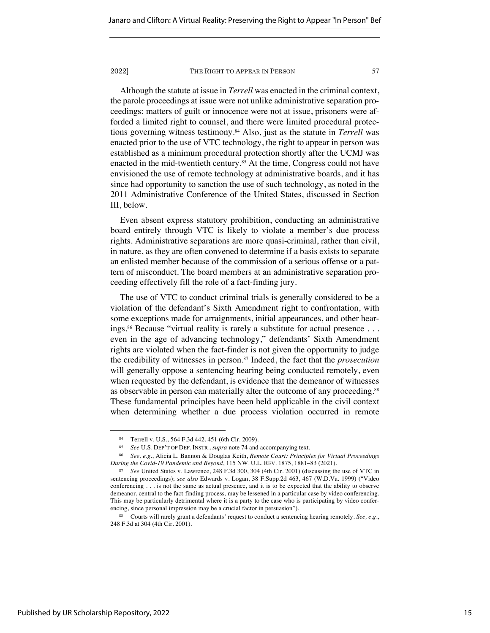Although the statute at issue in *Terrell* was enacted in the criminal context, the parole proceedings at issue were not unlike administrative separation proceedings: matters of guilt or innocence were not at issue, prisoners were afforded a limited right to counsel, and there were limited procedural protections governing witness testimony.<sup>84</sup> Also, just as the statute in *Terrell* was enacted prior to the use of VTC technology, the right to appear in person was established as a minimum procedural protection shortly after the UCMJ was enacted in the mid-twentieth century.<sup>85</sup> At the time, Congress could not have envisioned the use of remote technology at administrative boards, and it has since had opportunity to sanction the use of such technology, as noted in the 2011 Administrative Conference of the United States, discussed in Section III, below.

Even absent express statutory prohibition, conducting an administrative board entirely through VTC is likely to violate a member's due process rights. Administrative separations are more quasi-criminal, rather than civil, in nature, as they are often convened to determine if a basis exists to separate an enlisted member because of the commission of a serious offense or a pattern of misconduct. The board members at an administrative separation proceeding effectively fill the role of a fact-finding jury.

The use of VTC to conduct criminal trials is generally considered to be a violation of the defendant's Sixth Amendment right to confrontation, with some exceptions made for arraignments, initial appearances, and other hearings.<sup>86</sup> Because "virtual reality is rarely a substitute for actual presence . . . even in the age of advancing technology," defendants' Sixth Amendment rights are violated when the fact-finder is not given the opportunity to judge the credibility of witnesses in person.<sup>87</sup> Indeed, the fact that the *prosecution* will generally oppose a sentencing hearing being conducted remotely, even when requested by the defendant, is evidence that the demeanor of witnesses as observable in person can materially alter the outcome of any proceeding.<sup>88</sup> These fundamental principles have been held applicable in the civil context when determining whether a due process violation occurred in remote

<sup>84</sup> Terrell v. U.S., 564 F.3d 442, 451 (6th Cir. 2009).

<sup>85</sup> *See* U.S. DEP'T OF DEF. INSTR., *supra* note 74 and accompanying text.

<sup>86</sup> *See, e.g.*, Alicia L. Bannon & Douglas Keith, *Remote Court: Principles for Virtual Proceedings During the Covid-19 Pandemic and Beyond*, 115 NW. U.L. REV. 1875, 1881–83 (2021).

<sup>87</sup> *See* United States v. Lawrence, 248 F.3d 300, 304 (4th Cir. 2001) (discussing the use of VTC in sentencing proceedings); *see also* Edwards v. Logan, 38 F.Supp.2d 463, 467 (W.D.Va. 1999) ("Video conferencing . . . is not the same as actual presence, and it is to be expected that the ability to observe demeanor, central to the fact-finding process, may be lessened in a particular case by video conferencing. This may be particularly detrimental where it is a party to the case who is participating by video conferencing, since personal impression may be a crucial factor in persuasion").

<sup>88</sup> Courts will rarely grant a defendants' request to conduct a sentencing hearing remotely. *See, e.g.*, 248 F.3d at 304 (4th Cir. 2001).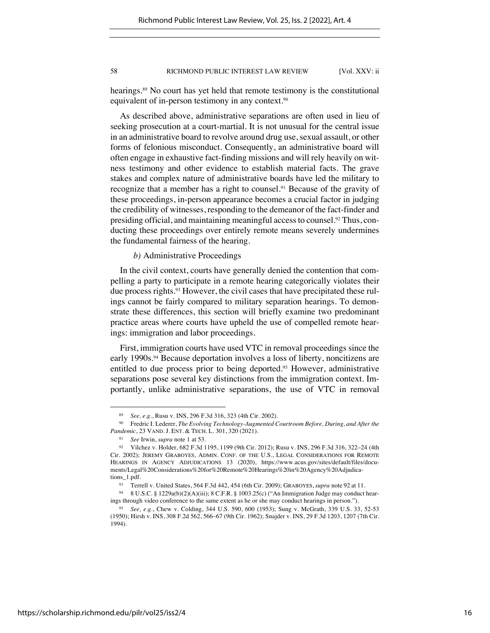hearings. <sup>89</sup> No court has yet held that remote testimony is the constitutional equivalent of in-person testimony in any context.<sup>90</sup>

As described above, administrative separations are often used in lieu of seeking prosecution at a court-martial. It is not unusual for the central issue in an administrative board to revolve around drug use, sexual assault, or other forms of felonious misconduct. Consequently, an administrative board will often engage in exhaustive fact-finding missions and will rely heavily on witness testimony and other evidence to establish material facts. The grave stakes and complex nature of administrative boards have led the military to recognize that a member has a right to counsel.<sup>91</sup> Because of the gravity of these proceedings, in-person appearance becomes a crucial factor in judging the credibility of witnesses, responding to the demeanor of the fact-finder and presiding official, and maintaining meaningful access to counsel.<sup>92</sup> Thus, conducting these proceedings over entirely remote means severely undermines the fundamental fairness of the hearing.

*b)* Administrative Proceedings

In the civil context, courts have generally denied the contention that compelling a party to participate in a remote hearing categorically violates their due process rights.<sup>93</sup> However, the civil cases that have precipitated these rulings cannot be fairly compared to military separation hearings. To demonstrate these differences, this section will briefly examine two predominant practice areas where courts have upheld the use of compelled remote hearings: immigration and labor proceedings.

First, immigration courts have used VTC in removal proceedings since the early 1990s.<sup>94</sup> Because deportation involves a loss of liberty, noncitizens are entitled to due process prior to being deported.<sup>95</sup> However, administrative separations pose several key distinctions from the immigration context. Importantly, unlike administrative separations, the use of VTC in removal

<sup>89</sup> *See, e.g.*, Rusu v. INS, 296 F.3d 316, 323 (4th Cir. 2002).

<sup>90</sup> Fredric I. Lederer, *The Evolving Technology-Augmented Courtroom Before, During, and After the Pandemic*, 23 VAND. J. ENT. & TECH. L. 301, 320 (2021).

<sup>91</sup> *See* Irwin, *supra* note 1 at 53.

<sup>92</sup> Vilchez v. Holder, 682 F.3d 1195, 1199 (9th Cir. 2012); Rusu v. INS, 296 F.3d 316, 322–24 (4th Cir. 2002); JEREMY GRABOYES, ADMIN. CONF. OF THE U.S., LEGAL CONSIDERATIONS FOR REMOTE HEARINGS IN AGENCY ADJUDICATIONS 13 (2020), https://www.acus.gov/sites/default/files/documents/Legal%20Considerations%20for%20Remote%20Hearings%20in%20Agency%20Adjudications\_1.pdf.

<sup>93</sup> Terrell v. United States, 564 F.3d 442, 454 (6th Cir. 2009); GRABOYES, *supra* note 92 at 11.

<sup>94</sup> 8 U.S.C. § 1229a(b)(2)(A)(iii); 8 C.F.R. § 1003.25(c) ("An Immigration Judge may conduct hearings through video conference to the same extent as he or she may conduct hearings in person.").

<sup>95</sup> *See, e.g.*, Chew v. Colding, 344 U.S. 590, 600 (1953); Sung v. McGrath, 339 U.S. 33, 52-53 (1950); Hirsh v. INS, 308 F.2d 562, 566–67 (9th Cir. 1962); Snajder v. INS, 29 F.3d 1203, 1207 (7th Cir. 1994).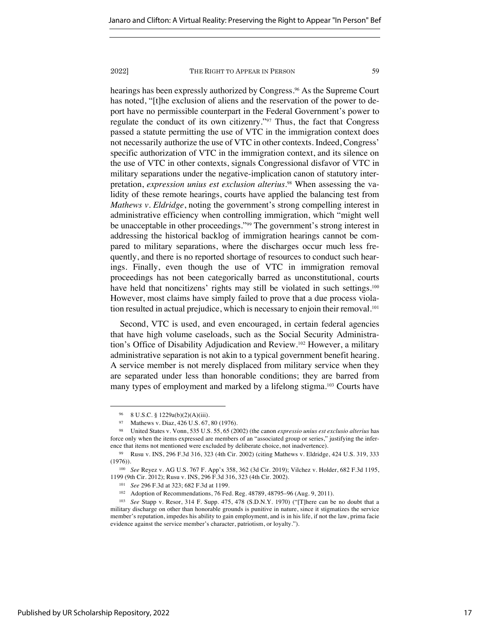hearings has been expressly authorized by Congress.<sup>96</sup> As the Supreme Court has noted, "[t]he exclusion of aliens and the reservation of the power to deport have no permissible counterpart in the Federal Government's power to regulate the conduct of its own citizenry."<sup>97</sup> Thus, the fact that Congress passed a statute permitting the use of VTC in the immigration context does not necessarily authorize the use of VTC in other contexts. Indeed, Congress' specific authorization of VTC in the immigration context, and its silence on the use of VTC in other contexts, signals Congressional disfavor of VTC in military separations under the negative-implication canon of statutory interpretation, *expression unius est exclusion alterius*. <sup>98</sup> When assessing the validity of these remote hearings, courts have applied the balancing test from *Mathews v. Eldridge*, noting the government's strong compelling interest in administrative efficiency when controlling immigration, which "might well be unacceptable in other proceedings."<sup>99</sup> The government's strong interest in addressing the historical backlog of immigration hearings cannot be compared to military separations, where the discharges occur much less frequently, and there is no reported shortage of resources to conduct such hearings. Finally, even though the use of VTC in immigration removal proceedings has not been categorically barred as unconstitutional, courts have held that noncitizens' rights may still be violated in such settings.<sup>100</sup> However, most claims have simply failed to prove that a due process violation resulted in actual prejudice, which is necessary to enjoin their removal.<sup>101</sup>

Second, VTC is used, and even encouraged, in certain federal agencies that have high volume caseloads, such as the Social Security Administration's Office of Disability Adjudication and Review.<sup>102</sup> However, a military administrative separation is not akin to a typical government benefit hearing. A service member is not merely displaced from military service when they are separated under less than honorable conditions; they are barred from many types of employment and marked by a lifelong stigma.<sup>103</sup> Courts have

<sup>96</sup> 8 U.S.C. § 1229a(b)(2)(A)(iii).

<sup>97</sup> Mathews v. Diaz, 426 U.S. 67, 80 (1976).

<sup>98</sup> United States v. Vonn, 535 U.S. 55, 65 (2002) (the canon *expressio unius est exclusio alterius* has force only when the items expressed are members of an "associated group or series," justifying the inference that items not mentioned were excluded by deliberate choice, not inadvertence).

<sup>99</sup> Rusu v. INS, 296 F.3d 316, 323 (4th Cir. 2002) (citing Mathews v. Eldridge, 424 U.S. 319, 333 (1976)).

<sup>100</sup> *See* Reyez v. AG U.S. 767 F. App'x 358, 362 (3d Cir. 2019); Vilchez v. Holder, 682 F.3d 1195, 1199 (9th Cir. 2012); Rusu v. INS, 296 F.3d 316, 323 (4th Cir. 2002).

<sup>101</sup> *See* 296 F.3d at 323; 682 F.3d at 1199.

<sup>102</sup> Adoption of Recommendations, 76 Fed. Reg. 48789, 48795–96 (Aug. 9, 2011).

<sup>103</sup> *See* Stapp v. Resor, 314 F. Supp. 475, 478 (S.D.N.Y. 1970) ("[T]here can be no doubt that a military discharge on other than honorable grounds is punitive in nature, since it stigmatizes the service member's reputation, impedes his ability to gain employment, and is in his life, if not the law, prima facie evidence against the service member's character, patriotism, or loyalty.").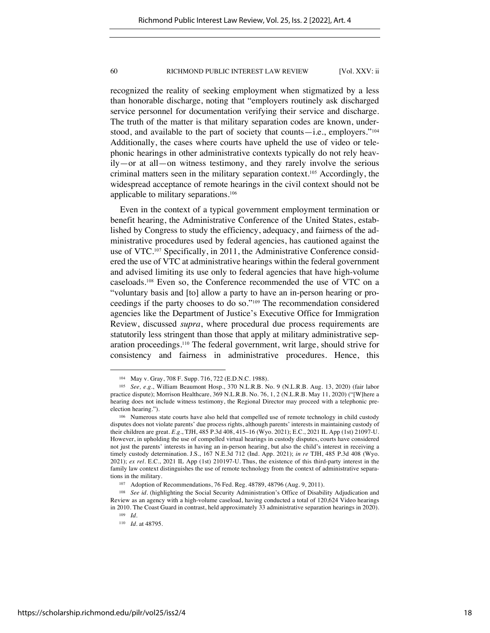recognized the reality of seeking employment when stigmatized by a less than honorable discharge, noting that "employers routinely ask discharged service personnel for documentation verifying their service and discharge. The truth of the matter is that military separation codes are known, understood, and available to the part of society that counts—i.e., employers." $104$ Additionally, the cases where courts have upheld the use of video or telephonic hearings in other administrative contexts typically do not rely heavily—or at all—on witness testimony, and they rarely involve the serious criminal matters seen in the military separation context.<sup>105</sup> Accordingly, the widespread acceptance of remote hearings in the civil context should not be applicable to military separations.<sup>106</sup>

Even in the context of a typical government employment termination or benefit hearing, the Administrative Conference of the United States, established by Congress to study the efficiency, adequacy, and fairness of the administrative procedures used by federal agencies, has cautioned against the use of VTC.<sup>107</sup> Specifically, in 2011, the Administrative Conference considered the use of VTC at administrative hearings within the federal government and advised limiting its use only to federal agencies that have high-volume caseloads.<sup>108</sup> Even so, the Conference recommended the use of VTC on a "voluntary basis and [to] allow a party to have an in-person hearing or proceedings if the party chooses to do so."<sup>109</sup> The recommendation considered agencies like the Department of Justice's Executive Office for Immigration Review, discussed *supra*, where procedural due process requirements are statutorily less stringent than those that apply at military administrative separation proceedings.<sup>110</sup> The federal government, writ large, should strive for consistency and fairness in administrative procedures. Hence, this

<sup>104</sup> May v. Gray, 708 F. Supp. 716, 722 (E.D.N.C. 1988).

<sup>105</sup> *See, e.g.*, William Beaumont Hosp., 370 N.L.R.B. No. 9 (N.L.R.B. Aug. 13, 2020) (fair labor practice dispute); Morrison Healthcare, 369 N.L.R.B. No. 76, 1, 2 (N.L.R.B. May 11, 2020) ("[W]here a hearing does not include witness testimony, the Regional Director may proceed with a telephonic preelection hearing.").

<sup>&</sup>lt;sup>106</sup> Numerous state courts have also held that compelled use of remote technology in child custody disputes does not violate parents' due process rights, although parents' interests in maintaining custody of their children are great. *E.g.*, TJH, 485 P.3d 408, 415–16 (Wyo. 2021); E.C., 2021 IL App (1st) 21097-U. However, in upholding the use of compelled virtual hearings in custody disputes, courts have considered not just the parents' interests in having an in-person hearing, but also the child's interest in receiving a timely custody determination. J.S., 167 N.E.3d 712 (Ind. App. 2021); *in re* TJH, 485 P.3d 408 (Wyo. 2021); *ex rel.* E.C., 2021 IL App (1st) 210197-U. Thus, the existence of this third-party interest in the family law context distinguishes the use of remote technology from the context of administrative separations in the military.

<sup>107</sup> Adoption of Recommendations, 76 Fed. Reg. 48789, 48796 (Aug. 9, 2011).

<sup>&</sup>lt;sup>108</sup> See id. (highlighting the Social Security Administration's Office of Disability Adjudication and Review as an agency with a high-volume caseload, having conducted a total of 120,624 Video hearings in 2010. The Coast Guard in contrast, held approximately 33 administrative separation hearings in 2020).

<sup>109</sup> *Id.*

<sup>110</sup> *Id.* at 48795.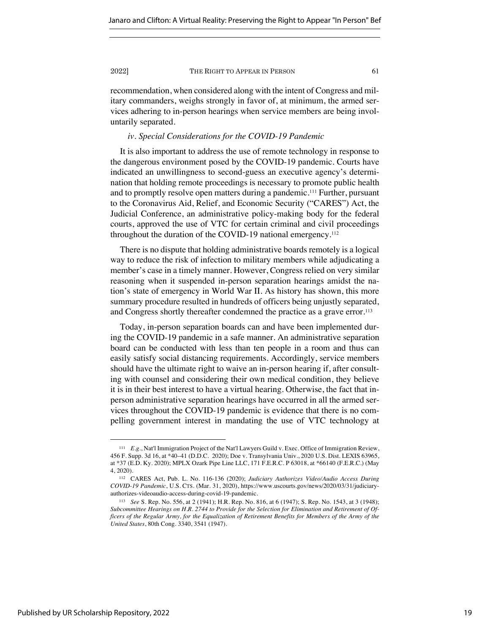recommendation, when considered along with the intent of Congress and military commanders, weighs strongly in favor of, at minimum, the armed services adhering to in-person hearings when service members are being involuntarily separated.

# *iv. Special Considerations for the COVID-19 Pandemic*

It is also important to address the use of remote technology in response to the dangerous environment posed by the COVID-19 pandemic. Courts have indicated an unwillingness to second-guess an executive agency's determination that holding remote proceedings is necessary to promote public health and to promptly resolve open matters during a pandemic.<sup>111</sup> Further, pursuant to the Coronavirus Aid, Relief, and Economic Security ("CARES") Act, the Judicial Conference, an administrative policy-making body for the federal courts, approved the use of VTC for certain criminal and civil proceedings throughout the duration of the COVID-19 national emergency.<sup>112</sup>

There is no dispute that holding administrative boards remotely is a logical way to reduce the risk of infection to military members while adjudicating a member's case in a timely manner. However, Congress relied on very similar reasoning when it suspended in-person separation hearings amidst the nation's state of emergency in World War II. As history has shown, this more summary procedure resulted in hundreds of officers being unjustly separated, and Congress shortly thereafter condemned the practice as a grave error.<sup>113</sup>

Today, in-person separation boards can and have been implemented during the COVID-19 pandemic in a safe manner. An administrative separation board can be conducted with less than ten people in a room and thus can easily satisfy social distancing requirements. Accordingly, service members should have the ultimate right to waive an in-person hearing if, after consulting with counsel and considering their own medical condition, they believe it is in their best interest to have a virtual hearing. Otherwise, the fact that inperson administrative separation hearings have occurred in all the armed services throughout the COVID-19 pandemic is evidence that there is no compelling government interest in mandating the use of VTC technology at

<sup>111</sup> *E.g.*, Nat'l Immigration Project of the Nat'l Lawyers Guild v. Exec. Office of Immigration Review, 456 F. Supp. 3d 16, at \*40–41 (D.D.C. 2020); Doe v. Transylvania Univ., 2020 U.S. Dist. LEXIS 63965, at \*37 (E.D. Ky. 2020); MPLX Ozark Pipe Line LLC, 171 F.E.R.C. P 63018, at \*66140 (F.E.R.C.) (May 4, 2020).

<sup>112</sup> CARES Act, Pub. L. No. 116-136 (2020); *Judiciary Authorizes Video/Audio Access During COVID-19 Pandemic*, U.S. CTS. (Mar. 31, 2020), https://www.uscourts.gov/news/2020/03/31/judiciaryauthorizes-videoaudio-access-during-covid-19-pandemic.

<sup>113</sup> *See* S. Rep. No. 556, at 2 (1941); H.R. Rep. No. 816, at 6 (1947); S. Rep. No. 1543, at 3 (1948); *Subcommittee Hearings on H.R. 2744 to Provide for the Selection for Elimination and Retirement of Officers of the Regular Army, for the Equalization of Retirement Benefits for Members of the Army of the United States*, 80th Cong. 3340, 3541 (1947).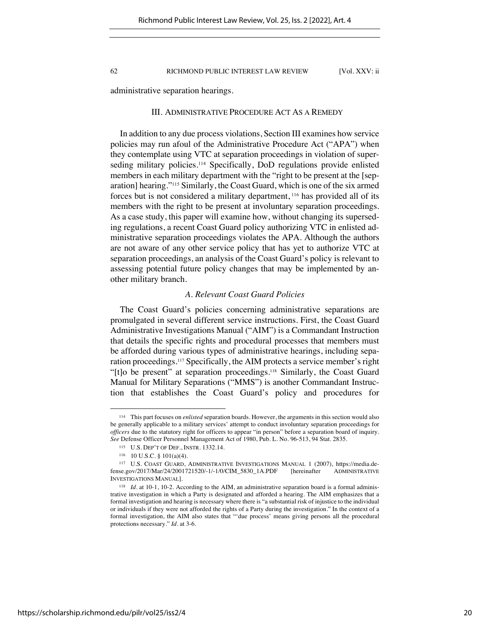administrative separation hearings.

# III. ADMINISTRATIVE PROCEDURE ACT AS A REMEDY

In addition to any due process violations, Section III examines how service policies may run afoul of the Administrative Procedure Act ("APA") when they contemplate using VTC at separation proceedings in violation of superseding military policies.<sup>114</sup> Specifically, DoD regulations provide enlisted members in each military department with the "right to be present at the [separation] hearing."<sup>115</sup> Similarly, the Coast Guard, which is one of the six armed forces but is not considered a military department, <sup>116</sup> has provided all of its members with the right to be present at involuntary separation proceedings. As a case study, this paper will examine how, without changing its superseding regulations, a recent Coast Guard policy authorizing VTC in enlisted administrative separation proceedings violates the APA. Although the authors are not aware of any other service policy that has yet to authorize VTC at separation proceedings, an analysis of the Coast Guard's policy is relevant to assessing potential future policy changes that may be implemented by another military branch.

# *A. Relevant Coast Guard Policies*

The Coast Guard's policies concerning administrative separations are promulgated in several different service instructions. First, the Coast Guard Administrative Investigations Manual ("AIM") is a Commandant Instruction that details the specific rights and procedural processes that members must be afforded during various types of administrative hearings, including separation proceedings.117 Specifically, the AIM protects a service member's right "[t]o be present" at separation proceedings.118 Similarly, the Coast Guard Manual for Military Separations ("MMS") is another Commandant Instruction that establishes the Coast Guard's policy and procedures for

<sup>114</sup> This part focuses on *enlisted* separation boards. However, the arguments in this section would also be generally applicable to a military services' attempt to conduct involuntary separation proceedings for *officers* due to the statutory right for officers to appear "in person" before a separation board of inquiry. *See* Defense Officer Personnel Management Act of 1980, Pub. L. No. 96-513, 94 Stat. 2835.

<sup>115</sup> U.S. DEP'T OF DEF., INSTR. 1332.14.

<sup>116</sup> 10 U.S.C. § 101(a)(4).

<sup>117</sup> U.S. COAST GUARD, ADMINISTRATIVE INVESTIGATIONS MANUAL 1 (2007), https://media.defense.gov/2017/Mar/24/2001721520/-1/-1/0/CIM\_5830\_1A.PDF [hereinafter ADMINISTRATIVE INVESTIGATIONS MANUAL].

<sup>118</sup> *Id.* at 10-1, 10-2. According to the AIM, an administrative separation board is a formal administrative investigation in which a Party is designated and afforded a hearing. The AIM emphasizes that a formal investigation and hearing is necessary where there is "a substantial risk of injustice to the individual or individuals if they were not afforded the rights of a Party during the investigation." In the context of a formal investigation, the AIM also states that "'due process' means giving persons all the procedural protections necessary." *Id.* at 3-6.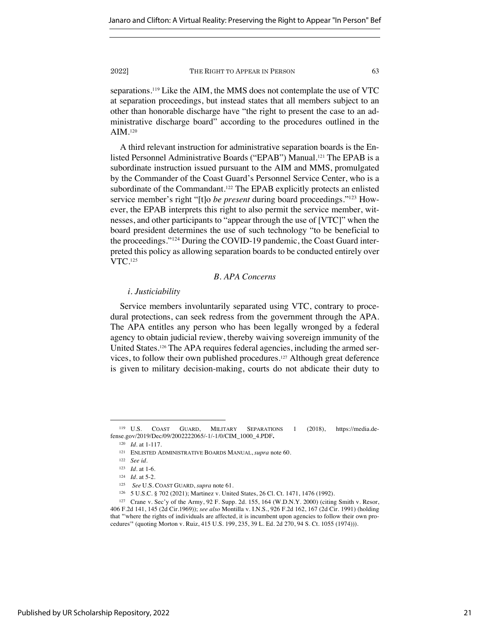separations.<sup>119</sup> Like the AIM, the MMS does not contemplate the use of VTC at separation proceedings, but instead states that all members subject to an other than honorable discharge have "the right to present the case to an administrative discharge board" according to the procedures outlined in the AIM.<sup>120</sup>

A third relevant instruction for administrative separation boards is the Enlisted Personnel Administrative Boards ("EPAB") Manual.<sup>121</sup> The EPAB is a subordinate instruction issued pursuant to the AIM and MMS, promulgated by the Commander of the Coast Guard's Personnel Service Center, who is a subordinate of the Commandant.<sup>122</sup> The EPAB explicitly protects an enlisted service member's right "[t]o *be present* during board proceedings."123 However, the EPAB interprets this right to also permit the service member, witnesses, and other participants to "appear through the use of [VTC]" when the board president determines the use of such technology "to be beneficial to the proceedings."124 During the COVID-19 pandemic, the Coast Guard interpreted this policy as allowing separation boards to be conducted entirely over VTC.<sup>125</sup>

# *B. APA Concerns*

# *i. Justiciability*

Service members involuntarily separated using VTC, contrary to procedural protections, can seek redress from the government through the APA. The APA entitles any person who has been legally wronged by a federal agency to obtain judicial review, thereby waiving sovereign immunity of the United States.126 The APA requires federal agencies, including the armed services, to follow their own published procedures.127 Although great deference is given to military decision-making, courts do not abdicate their duty to

<sup>119</sup> U.S. COAST GUARD, MILITARY SEPARATIONS 1 (2018), https://media.defense.gov/2019/Dec/09/2002222065/-1/-1/0/CIM\_1000\_4.PDF**.**

<sup>120</sup> *Id.* at 1-117.

<sup>121</sup> ENLISTED ADMINISTRATIVE BOARDS MANUAL, *supra* note 60.

<sup>122</sup> *See id.*

<sup>123</sup> *Id.* at 1-6.

<sup>124</sup> *Id.* at 5-2.

<sup>125</sup> *See* U.S. COAST GUARD, *supra* note 61.

<sup>126</sup> 5 U.S.C. § 702 (2021); Martinez v. United States, 26 Cl. Ct. 1471, 1476 (1992).

<sup>127</sup> Crane v. Sec'y of the Army, 92 F. Supp. 2d. 155, 164 (W.D.N.Y. 2000) (citing Smith v. Resor, 406 F.2d 141, 145 (2d Cir.1969)); *see also* Montilla v. I.N.S., 926 F.2d 162, 167 (2d Cir. 1991) (holding that "'where the rights of individuals are affected, it is incumbent upon agencies to follow their own procedures'" (quoting Morton v. Ruiz, 415 U.S. 199, 235, 39 L. Ed. 2d 270, 94 S. Ct. 1055 (1974))).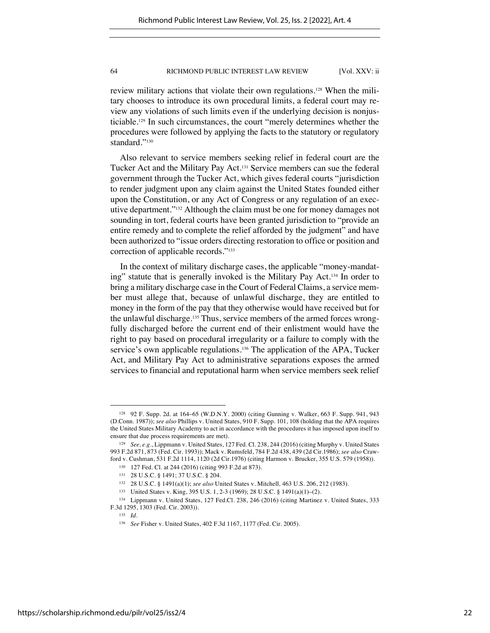review military actions that violate their own regulations.128 When the military chooses to introduce its own procedural limits, a federal court may review any violations of such limits even if the underlying decision is nonjusticiable.129 In such circumstances, the court "merely determines whether the procedures were followed by applying the facts to the statutory or regulatory standard."<sup>130</sup>

Also relevant to service members seeking relief in federal court are the Tucker Act and the Military Pay Act.131 Service members can sue the federal government through the Tucker Act, which gives federal courts "jurisdiction to render judgment upon any claim against the United States founded either upon the Constitution, or any Act of Congress or any regulation of an executive department."132 Although the claim must be one for money damages not sounding in tort, federal courts have been granted jurisdiction to "provide an entire remedy and to complete the relief afforded by the judgment" and have been authorized to "issue orders directing restoration to office or position and correction of applicable records."133

In the context of military discharge cases, the applicable "money-mandating" statute that is generally invoked is the Military Pay Act.134 In order to bring a military discharge case in the Court of Federal Claims, a service member must allege that, because of unlawful discharge, they are entitled to money in the form of the pay that they otherwise would have received but for the unlawful discharge.135 Thus, service members of the armed forces wrongfully discharged before the current end of their enlistment would have the right to pay based on procedural irregularity or a failure to comply with the service's own applicable regulations.136 The application of the APA, Tucker Act, and Military Pay Act to administrative separations exposes the armed services to financial and reputational harm when service members seek relief

<sup>128</sup> 92 F. Supp. 2d. at 164–65 (W.D.N.Y. 2000) (citing Gunning v. Walker, 663 F. Supp. 941, 943 (D.Conn. 1987)); *see also* Phillips v. United States, 910 F. Supp. 101, 108 (holding that the APA requires the United States Military Academy to act in accordance with the procedures it has imposed upon itself to ensure that due process requirements are met).

<sup>129</sup> *See, e.g.*, Lippmann v. United States, 127 Fed. Cl. 238, 244 (2016) (citing Murphy v. United States 993 F.2d 871, 873 (Fed. Cir. 1993)); Mack v. Rumsfeld, 784 F.2d 438, 439 (2d Cir.1986); *see also* Crawford v. Cushman, 531 F.2d 1114, 1120 (2d Cir.1976) (citing Harmon v. Brucker, 355 U.S. 579 (1958)).

<sup>130</sup> 127 Fed. Cl. at 244 (2016) (citing 993 F.2d at 873).

<sup>131</sup> 28 U.S.C. § 1491; 37 U.S.C. § 204.

<sup>132</sup> 28 U.S.C. § 1491(a)(1); *see also* United States v. Mitchell*,* 463 U.S. 206, 212 (1983).

<sup>133</sup> United States v. King, 395 U.S. 1, 2-3 (1969); 28 U.S.C. § 1491(a)(1)–(2).

<sup>134</sup> Lippmann v. United States, 127 Fed.Cl. 238, 246 (2016) (citing Martinez v. United States, 333 F.3d 1295, 1303 (Fed. Cir. 2003)).

<sup>135</sup> *Id.*

<sup>136</sup> *See* Fisher v. United States, 402 F.3d 1167, 1177 (Fed. Cir. 2005).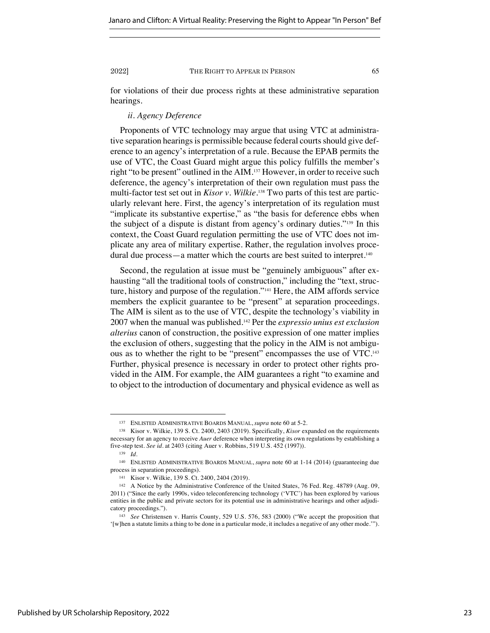for violations of their due process rights at these administrative separation hearings.

# *ii. Agency Deference*

Proponents of VTC technology may argue that using VTC at administrative separation hearings is permissible because federal courts should give deference to an agency's interpretation of a rule. Because the EPAB permits the use of VTC, the Coast Guard might argue this policy fulfills the member's right "to be present" outlined in the AIM.137 However, in order to receive such deference, the agency's interpretation of their own regulation must pass the multi-factor test set out in *Kisor v. Wilkie*. <sup>138</sup> Two parts of this test are particularly relevant here. First, the agency's interpretation of its regulation must "implicate its substantive expertise," as "the basis for deference ebbs when the subject of a dispute is distant from agency's ordinary duties."139 In this context, the Coast Guard regulation permitting the use of VTC does not implicate any area of military expertise. Rather, the regulation involves procedural due process—a matter which the courts are best suited to interpret.<sup>140</sup>

Second, the regulation at issue must be "genuinely ambiguous" after exhausting "all the traditional tools of construction," including the "text, structure, history and purpose of the regulation."141 Here, the AIM affords service members the explicit guarantee to be "present" at separation proceedings. The AIM is silent as to the use of VTC, despite the technology's viability in 2007 when the manual was published.142 Per the *expressio unius est exclusion alterius* canon of construction, the positive expression of one matter implies the exclusion of others, suggesting that the policy in the AIM is not ambiguous as to whether the right to be "present" encompasses the use of VTC.143 Further, physical presence is necessary in order to protect other rights provided in the AIM. For example, the AIM guarantees a right "to examine and to object to the introduction of documentary and physical evidence as well as

<sup>137</sup> ENLISTED ADMINISTRATIVE BOARDS MANUAL, *supra* note 60 at 5-2.

<sup>138</sup> Kisor v. Wilkie, 139 S. Ct. 2400, 2403 (2019). Specifically, *Kisor* expanded on the requirements necessary for an agency to receive *Auer* deference when interpreting its own regulations by establishing a five-step test. *See id.* at 2403 (citing Auer v. Robbins, 519 U.S. 452 (1997)).

<sup>139</sup> *Id.*

<sup>140</sup> ENLISTED ADMINISTRATIVE BOARDS MANUAL, *supra* note 60 at 1-14 (2014) (guaranteeing due process in separation proceedings).

<sup>141</sup> Kisor v. Wilkie, 139 S. Ct. 2400, 2404 (2019).

<sup>142</sup> A Notice by the Administrative Conference of the United States, 76 Fed. Reg. 48789 (Aug. 09, 2011) ("Since the early 1990s, video teleconferencing technology ('VTC') has been explored by various entities in the public and private sectors for its potential use in administrative hearings and other adjudicatory proceedings.").

<sup>143</sup> *See* Christensen v. Harris County, 529 U.S. 576, 583 (2000) ("We accept the proposition that '[w]hen a statute limits a thing to be done in a particular mode, it includes a negative of any other mode.'").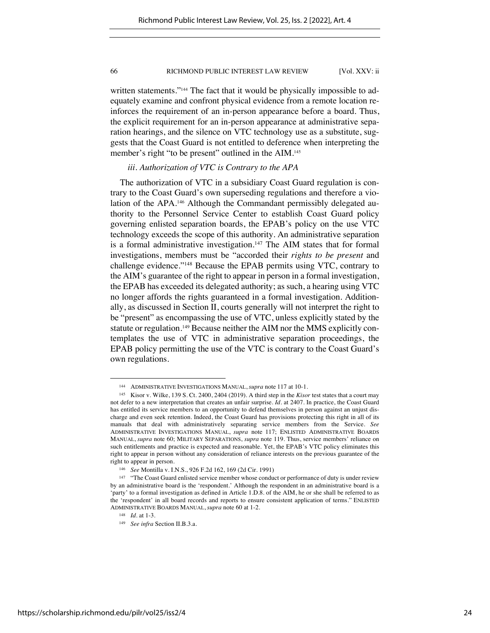written statements."<sup>144</sup> The fact that it would be physically impossible to adequately examine and confront physical evidence from a remote location reinforces the requirement of an in-person appearance before a board. Thus, the explicit requirement for an in-person appearance at administrative separation hearings, and the silence on VTC technology use as a substitute, suggests that the Coast Guard is not entitled to deference when interpreting the member's right "to be present" outlined in the AIM.<sup>145</sup>

# *iii. Authorization of VTC is Contrary to the APA*

The authorization of VTC in a subsidiary Coast Guard regulation is contrary to the Coast Guard's own superseding regulations and therefore a violation of the APA.<sup>146</sup> Although the Commandant permissibly delegated authority to the Personnel Service Center to establish Coast Guard policy governing enlisted separation boards, the EPAB's policy on the use VTC technology exceeds the scope of this authority. An administrative separation is a formal administrative investigation.<sup>147</sup> The AIM states that for formal investigations, members must be "accorded their *rights to be present* and challenge evidence."148 Because the EPAB permits using VTC, contrary to the AIM's guarantee of the right to appear in person in a formal investigation, the EPAB has exceeded its delegated authority; as such, a hearing using VTC no longer affords the rights guaranteed in a formal investigation. Additionally, as discussed in Section II, courts generally will not interpret the right to be "present" as encompassing the use of VTC, unless explicitly stated by the statute or regulation. <sup>149</sup> Because neither the AIM nor the MMS explicitly contemplates the use of VTC in administrative separation proceedings, the EPAB policy permitting the use of the VTC is contrary to the Coast Guard's own regulations.

<sup>144</sup> ADMINISTRATIVE INVESTIGATIONS MANUAL, *supra* note 117 at 10-1.

<sup>145</sup> Kisor v. Wilke, 139 S. Ct. 2400, 2404 (2019). A third step in the *Kisor* test states that a court may not defer to a new interpretation that creates an unfair surprise. *Id.* at 2407. In practice, the Coast Guard has entitled its service members to an opportunity to defend themselves in person against an unjust discharge and even seek retention. Indeed, the Coast Guard has provisions protecting this right in all of its manuals that deal with administratively separating service members from the Service. *See* ADMINISTRATIVE INVESTIGATIONS MANUAL, *supra* note 117; ENLISTED ADMINISTRATIVE BOARDS MANUAL, *supra* note 60; MILITARY SEPARATIONS, *supra* note 119. Thus, service members' reliance on such entitlements and practice is expected and reasonable. Yet, the EPAB's VTC policy eliminates this right to appear in person without any consideration of reliance interests on the previous guarantee of the right to appear in person.

<sup>146</sup> *See* Montilla v. I.N.S., 926 F.2d 162, 169 (2d Cir. 1991)

<sup>&</sup>lt;sup>147</sup> "The Coast Guard enlisted service member whose conduct or performance of duty is under review by an administrative board is the 'respondent.' Although the respondent in an administrative board is a 'party' to a formal investigation as defined in Article 1.D.8. of the AIM, he or she shall be referred to as the 'respondent' in all board records and reports to ensure consistent application of terms." ENLISTED ADMINISTRATIVE BOARDS MANUAL, *supra* note 60 at 1-2.

<sup>148</sup> *Id.* at 1-3.

<sup>149</sup> *See infra* Section II.B.3.a.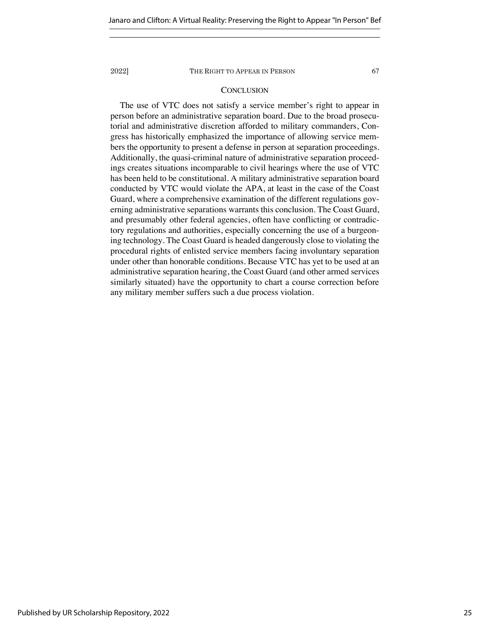# **CONCLUSION**

The use of VTC does not satisfy a service member's right to appear in person before an administrative separation board. Due to the broad prosecutorial and administrative discretion afforded to military commanders, Congress has historically emphasized the importance of allowing service members the opportunity to present a defense in person at separation proceedings. Additionally, the quasi-criminal nature of administrative separation proceedings creates situations incomparable to civil hearings where the use of VTC has been held to be constitutional. A military administrative separation board conducted by VTC would violate the APA, at least in the case of the Coast Guard, where a comprehensive examination of the different regulations governing administrative separations warrants this conclusion. The Coast Guard, and presumably other federal agencies, often have conflicting or contradictory regulations and authorities, especially concerning the use of a burgeoning technology. The Coast Guard is headed dangerously close to violating the procedural rights of enlisted service members facing involuntary separation under other than honorable conditions. Because VTC has yet to be used at an administrative separation hearing, the Coast Guard (and other armed services similarly situated) have the opportunity to chart a course correction before any military member suffers such a due process violation.